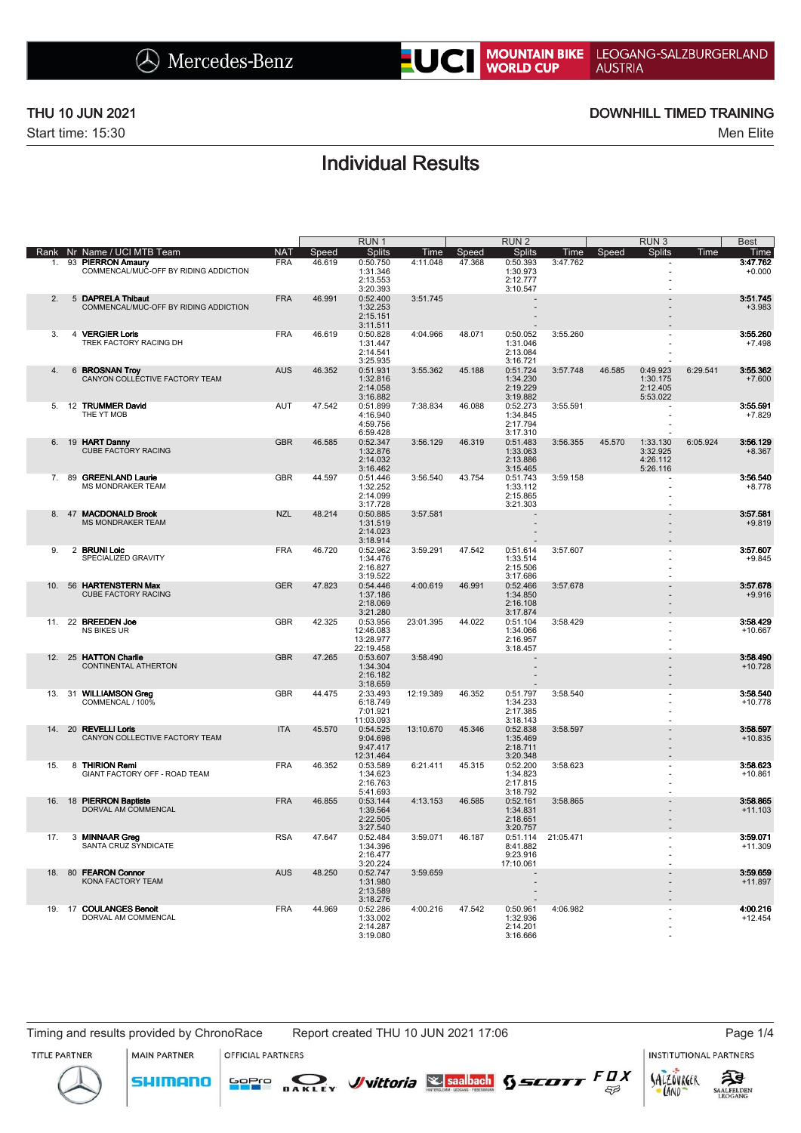# NOUNTAIN BIKE LEOGANG-SALZBURGERLAND

Start time: 15:30 Men Elite

## THU 10 JUN 2021 DOWNHILL TIMED TRAINING

## Individual Results

|      |    |                                                                |                 |        | RUN <sub>1</sub>      |           |        | RUN <sub>2</sub>     |           |        | RUN <sub>3</sub>     |          | <b>Best</b>           |
|------|----|----------------------------------------------------------------|-----------------|--------|-----------------------|-----------|--------|----------------------|-----------|--------|----------------------|----------|-----------------------|
| Rank |    | Nr Name / UCI MTB Team                                         | NA <sub>1</sub> | Speed  | <b>Splits</b>         | Time      | Speed  | <b>Splits</b>        | Time      | Speed  | <b>Splits</b>        | Time     | Time                  |
| 1.   | 93 | <b>PIERRON Amaury</b><br>COMMENCAL/MUC-OFF BY RIDING ADDICTION | <b>FRA</b>      | 46.619 | 0:50.750<br>1:31.346  | 4:11.048  | 47.368 | 0:50.393<br>1:30.973 | 3:47.762  |        | ä,                   |          | 3:47.762<br>$+0.000$  |
|      |    |                                                                |                 |        | 2:13.553              |           |        | 2:12.777             |           |        |                      |          |                       |
| 2.   |    | 5 DAPRELA Thibaut                                              | <b>FRA</b>      | 46.991 | 3:20.393<br>0:52.400  | 3:51.745  |        | 3:10.547             |           |        |                      |          | 3:51.745              |
|      |    | COMMENCAL/MUC-OFF BY RIDING ADDICTION                          |                 |        | 1:32.253              |           |        |                      |           |        |                      |          | $+3.983$              |
|      |    |                                                                |                 |        | 2:15.151<br>3:11.511  |           |        |                      |           |        |                      |          |                       |
| 3.   |    | 4 VERGIER Loris                                                | <b>FRA</b>      | 46.619 | 0:50.828              | 4:04.966  | 48.071 | 0:50.052             | 3:55.260  |        |                      |          | 3:55.260              |
|      |    | TREK FACTORY RACING DH                                         |                 |        | 1:31.447<br>2:14.541  |           |        | 1:31.046<br>2:13.084 |           |        |                      |          | $+7.498$              |
|      |    |                                                                |                 |        | 3:25.935              |           |        | 3:16.721             |           |        |                      |          |                       |
| 4.   |    | 6 BROSNAN Troy<br>CANYON COLLECTIVE FACTORY TEAM               | <b>AUS</b>      | 46.352 | 0:51.931<br>1:32.816  | 3:55.362  | 45.188 | 0:51.724<br>1:34.230 | 3:57.748  | 46.585 | 0:49.923<br>1:30.175 | 6:29.541 | 3:55.362<br>$+7.600$  |
|      |    |                                                                |                 |        | 2:14.058              |           |        | 2:19.229             |           |        | 2:12.405             |          |                       |
| 5.   |    | 12 TRUMMER David                                               | <b>AUT</b>      | 47.542 | 3:16.882<br>0:51.899  | 7:38.834  | 46.088 | 3:19.882<br>0:52.273 | 3:55.591  |        | 5:53.022<br>٠        |          | 3:55.591              |
|      |    | THE YT MOB                                                     |                 |        | 4:16.940              |           |        | 1:34.845             |           |        | Ĭ.                   |          | $+7.829$              |
|      |    |                                                                |                 |        | 4:59.756<br>6:59.428  |           |        | 2:17.794<br>3:17.310 |           |        | ÷.                   |          |                       |
| 6.   | 19 | <b>HART Danny</b>                                              | <b>GBR</b>      | 46.585 | 0:52.347              | 3:56.129  | 46.319 | 0:51.483             | 3:56.355  | 45.570 | 1:33.130             | 6:05.924 | 3:56.129              |
|      |    | CUBE FACTÓRY RACING                                            |                 |        | 1:32.876<br>2:14.032  |           |        | 1:33.063<br>2:13.886 |           |        | 3:32.925<br>4:26.112 |          | $+8.367$              |
|      |    |                                                                |                 |        | 3:16.462              |           |        | 3:15.465             |           |        | 5:26.116             |          |                       |
| 7.   |    | 89 GREENLAND Laurie<br><b>MS MONDRAKER TEAM</b>                | <b>GBR</b>      | 44.597 | 0:51.446<br>1:32.252  | 3:56.540  | 43.754 | 0:51.743<br>1:33.112 | 3:59.158  |        | ä,                   |          | 3:56.540<br>$+8.778$  |
|      |    |                                                                |                 |        | 2:14.099              |           |        | 2:15.865             |           |        | ä,                   |          |                       |
| 8.   | 47 | <b>MACDONALD Brook</b>                                         | <b>NZL</b>      | 48.214 | 3:17.728<br>0:50.885  | 3:57.581  |        | 3:21.303             |           |        |                      |          | 3:57.581              |
|      |    | MS MONDRAKER TEAM                                              |                 |        | 1:31.519              |           |        |                      |           |        |                      |          | $+9.819$              |
|      |    |                                                                |                 |        | 2:14.023<br>3:18.914  |           |        |                      |           |        |                      |          |                       |
| 9.   |    | 2 BRUNI Loic                                                   | <b>FRA</b>      | 46.720 | 0:52.962              | 3:59.291  | 47.542 | 0:51.614             | 3:57.607  |        |                      |          | 3:57.607              |
|      |    | SPECIALIZED GRAVITY                                            |                 |        | 1:34.476<br>2:16.827  |           |        | 1:33.514<br>2:15.506 |           |        |                      |          | $+9.845$              |
|      |    |                                                                |                 |        | 3:19.522              |           |        | 3:17.686             |           |        |                      |          |                       |
| 10.  |    | 56 HARTENSTERN Max<br><b>CUBE FACTORY RACING</b>               | <b>GER</b>      | 47.823 | 0:54.446              | 4:00.619  | 46.991 | 0:52.466             | 3:57.678  |        |                      |          | 3:57.678              |
|      |    |                                                                |                 |        | 1:37.186<br>2:18.069  |           |        | 1:34.850<br>2:16.108 |           |        |                      |          | $+9.916$              |
|      |    |                                                                |                 |        | 3:21.280              |           |        | 3:17.874             |           |        |                      |          |                       |
| 11   |    | 22 BREEDEN Joe<br><b>NS BIKES UR</b>                           | <b>GBR</b>      | 42.325 | 0:53.956<br>12:46.083 | 23:01.395 | 44.022 | 0:51.104<br>1:34.066 | 3:58.429  |        |                      |          | 3:58.429<br>$+10.667$ |
|      |    |                                                                |                 |        | 13:28.977             |           |        | 2:16.957             |           |        |                      |          |                       |
| 12.  |    | 25 HATTON Charlie                                              | <b>GBR</b>      | 47.265 | 22:19.458<br>0:53.607 | 3:58.490  |        | 3:18.457             |           |        |                      |          | 3:58.490              |
|      |    | CONTINENTAL ATHERTON                                           |                 |        | 1:34.304              |           |        |                      |           |        |                      |          | $+10.728$             |
|      |    |                                                                |                 |        | 2:16.182<br>3:18.659  |           |        |                      |           |        |                      |          |                       |
| 13.  |    | 31 WILLIAMSON Greg                                             | <b>GBR</b>      | 44.475 | 2:33.493              | 12:19.389 | 46.352 | 0:51.797             | 3:58.540  |        |                      |          | 3:58.540              |
|      |    | COMMENCAL / 100%                                               |                 |        | 6:18.749<br>7:01.921  |           |        | 1:34.233<br>2:17.385 |           |        |                      |          | $+10.778$             |
|      |    |                                                                |                 |        | 11:03.093             |           |        | 3:18.143             |           |        |                      |          |                       |
| 14.  | 20 | <b>REVELLI Loris</b><br>CANYON COLLECTIVE FACTORY TEAM         | <b>ITA</b>      | 45.570 | 0:54.525<br>9:04.698  | 13:10.670 | 45.346 | 0:52.838<br>1:35.469 | 3:58.597  |        |                      |          | 3:58.597<br>$+10.835$ |
|      |    |                                                                |                 |        | 9:47.417              |           |        | 2:18.711             |           |        |                      |          |                       |
| 15.  |    | 8 THIRION Remi                                                 | <b>FRA</b>      | 46.352 | 12:31.464<br>0:53.589 | 6:21.411  | 45.315 | 3:20.348<br>0:52.200 | 3:58.623  |        |                      |          | 3:58.623              |
|      |    | GIANT FACTORY OFF - ROAD TEAM                                  |                 |        | 1:34.623              |           |        | 1:34.823             |           |        |                      |          | $+10.861$             |
|      |    |                                                                |                 |        | 2:16.763<br>5:41.693  |           |        | 2:17.815<br>3:18.792 |           |        |                      |          |                       |
| 16.  |    | 18 PIERRON Baptiste                                            | <b>FRA</b>      | 46.855 | 0:53.144              | 4:13.153  | 46.585 | 0:52.161             | 3:58.865  |        |                      |          | 3:58.865              |
|      |    | DORVAL AM COMMENCAL                                            |                 |        | 1:39.564<br>2:22.505  |           |        | 1:34.831<br>2:18.651 |           |        |                      |          | $+11.103$             |
|      |    |                                                                |                 |        | 3:27.540              |           |        | 3:20.757             |           |        |                      |          |                       |
| 17.  |    | 3 MINNAAR Greg<br>SANTA CRUZ SYNDICATE                         | <b>RSA</b>      | 47.647 | 0:52.484<br>1:34.396  | 3:59.071  | 46.187 | 0:51.114<br>8:41.882 | 21:05.471 |        |                      |          | 3:59.071<br>$+11.309$ |
|      |    |                                                                |                 |        | 2:16.477              |           |        | 9:23.916             |           |        |                      |          |                       |
| 18.  | 80 | <b>FEARON Connor</b>                                           | <b>AUS</b>      | 48.250 | 3:20.224<br>0:52.747  | 3:59.659  |        | 17:10.061            |           |        |                      |          | 3:59.659              |
|      |    | KONA FACTORY TEAM                                              |                 |        | 1:31.980              |           |        |                      |           |        |                      |          | $+11.897$             |
|      |    |                                                                |                 |        | 2:13.589<br>3:18.276  |           |        |                      |           |        |                      |          |                       |
| 19.  |    | 17 COULANGES Benoit                                            | <b>FRA</b>      | 44.969 | 0:52.286              | 4:00.216  | 47.542 | 0:50.961             | 4:06.982  |        |                      |          | 4:00.216              |
|      |    | DORVAL AM COMMENCAL                                            |                 |        | 1:33.002<br>2:14.287  |           |        | 1:32.936<br>2:14.201 |           |        |                      |          | $+12.454$             |
|      |    |                                                                |                 |        | 3:19.080              |           |        | 3:16.666             |           |        |                      |          |                       |

**MAIN PARTNER** 

**SHIMANO** 

**OFFICIAL PARTNERS** 

GoPro

LAND

TITLE PARTNER



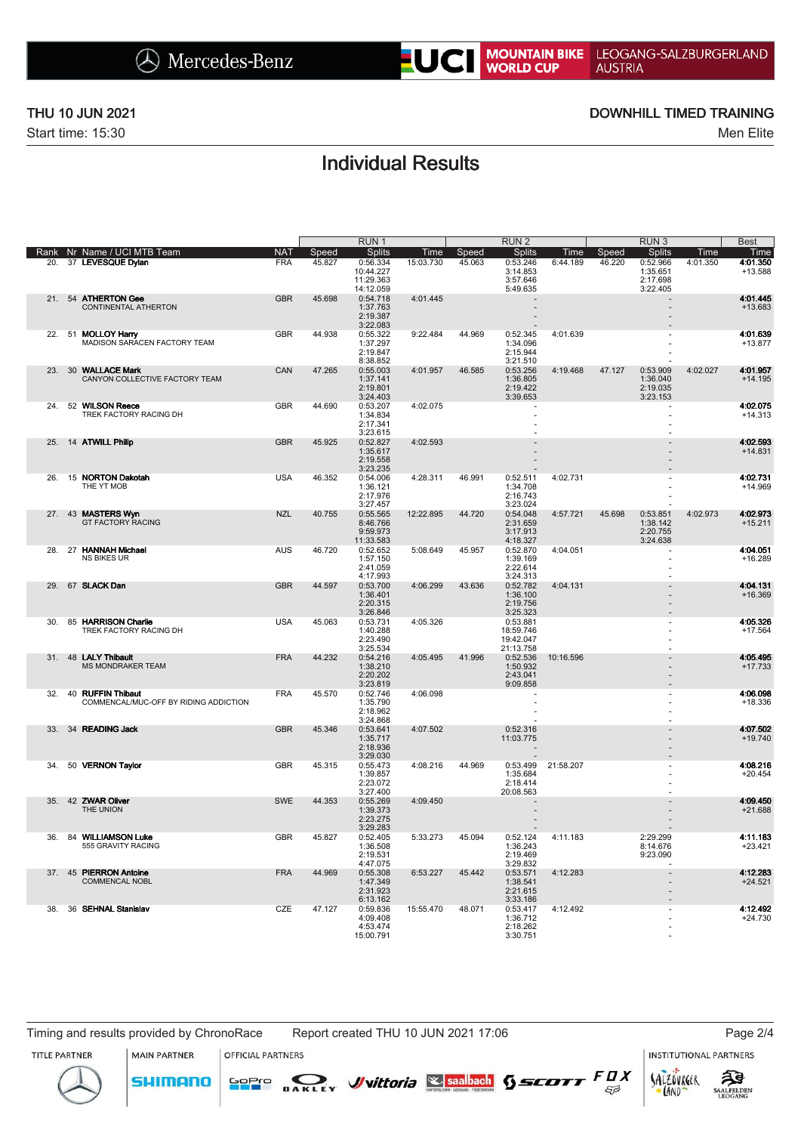# NOUNTAIN BIKE LEOGANG-SALZBURGERLAND

Start time: 15:30 Men Elite

 $\overline{\phantom{a}}$ 

### THU 10 JUN 2021 DOWNHILL TIMED TRAINING

## Individual Results

|      |                                                            |                 |        | RUN <sub>1</sub>                                |           |        | RUN <sub>2</sub>                                |           |        | RUN <sub>3</sub>                             |          | <b>Best</b>           |
|------|------------------------------------------------------------|-----------------|--------|-------------------------------------------------|-----------|--------|-------------------------------------------------|-----------|--------|----------------------------------------------|----------|-----------------------|
| Rank | Nr Name / UCI MTB Team                                     | NA <sub>1</sub> | Speed  | <b>Splits</b>                                   | Time      | Speed  | <b>Splits</b>                                   | Time      | Speed  | <b>Splits</b>                                | Time     | Time                  |
| 20.  | 37 LEVESQUE Dylan                                          | <b>FRA</b>      | 45.827 | 0:56.334<br>10:44.227<br>11:29.363<br>14:12.059 | 15:03.730 | 45.063 | 0:53.246<br>3:14.853<br>3:57.646<br>5:49.635    | 6:44.189  | 46.220 | 0:52.966<br>1:35.651<br>2:17.698<br>3:22.405 | 4:01.350 | 4:01.350<br>$+13.588$ |
|      | 21. 54 ATHERTON Gee<br>CONTINENTAL ATHERTON                | <b>GBR</b>      | 45.698 | 0:54.718<br>1:37.763<br>2:19.387<br>3:22.083    | 4:01.445  |        |                                                 |           |        |                                              |          | 4:01.445<br>+13.683   |
| 22.  | 51 MOLLOY Harry<br>MADISON SARACEN FACTORY TEAM            | <b>GBR</b>      | 44.938 | 0:55.322<br>1:37.297<br>2:19.847<br>8:38.852    | 9:22.484  | 44.969 | 0:52.345<br>1:34.096<br>2:15.944<br>3:21.510    | 4:01.639  |        |                                              |          | 4:01.639<br>$+13.877$ |
| 23.  | 30 WALLACE Mark<br>CANYON COLLECTIVE FACTORY TEAM          | CAN             | 47.265 | 0:55.003<br>1:37.141<br>2:19.801<br>3:24.403    | 4:01.957  | 46.585 | 0:53.256<br>1:36.805<br>2:19.422<br>3:39.653    | 4:19.468  | 47.127 | 0:53.909<br>1:36.040<br>2:19.035<br>3:23.153 | 4:02.027 | 4:01.957<br>$+14.195$ |
| 24.  | 52 WILSON Reece<br>TREK FACTORY RACING DH                  | <b>GBR</b>      | 44.690 | 0:53.207<br>1:34.834<br>2:17.341<br>3:23.615    | 4:02.075  |        | ä,                                              |           |        |                                              |          | 4:02.075<br>$+14.313$ |
| 25.  | 14 ATWILL Philip                                           | <b>GBR</b>      | 45.925 | 0:52.827<br>1:35.617<br>2:19.558<br>3:23.235    | 4:02.593  |        |                                                 |           |        |                                              |          | 4:02.593<br>$+14.831$ |
| 26.  | 15 NORTON Dakotah<br>THE YT MOB                            | <b>USA</b>      | 46.352 | 0:54.006<br>1:36.121<br>2:17.976<br>3:27.457    | 4:28.311  | 46.991 | 0:52.511<br>1:34.708<br>2:16.743<br>3:23.024    | 4:02.731  |        |                                              |          | 4:02.731<br>$+14.969$ |
|      | 27. 43 MASTERS Wyn<br><b>GT FACTORY RACING</b>             | <b>NZL</b>      | 40.755 | 0:55.565<br>8:46.766<br>9:59.973<br>11:33.583   | 12:22.895 | 44.720 | 0:54.048<br>2:31.659<br>3:17.913<br>4:18.327    | 4:57.721  | 45.698 | 0:53.851<br>1:38.142<br>2:20.755<br>3:24.638 | 4:02.973 | 4:02.973<br>$+15.211$ |
| 28.  | 27 HANNAH Michael<br><b>NS BIKES UR</b>                    | <b>AUS</b>      | 46.720 | 0:52.652<br>1:57.150<br>2:41.059<br>4:17.993    | 5:08.649  | 45.957 | 0:52.870<br>1:39.169<br>2:22.614<br>3:24.313    | 4:04.051  |        | ä,                                           |          | 4:04.051<br>$+16.289$ |
| 29.  | 67 SLACK Dan                                               | <b>GBR</b>      | 44.597 | 0:53.700<br>1:36.401<br>2:20.315<br>3:26.846    | 4:06.299  | 43.636 | 0:52.782<br>1:36.100<br>2:19.756<br>3:25.323    | 4:04.131  |        |                                              |          | 4:04.131<br>$+16.369$ |
| 30   | 85 HARRISON Charlie<br>TREK FACTORY RACING DH              | <b>USA</b>      | 45.063 | 0:53.731<br>1:40.288<br>2:23.490<br>3:25.534    | 4:05.326  |        | 0:53.881<br>18:59.746<br>19:42.047<br>21:13.758 |           |        |                                              |          | 4:05.326<br>$+17.564$ |
| 31.  | 48 LALY Thibault<br><b>MS MONDRAKER TEAM</b>               | <b>FRA</b>      | 44.232 | 0:54.216<br>1:38.210<br>2:20.202<br>3:23.819    | 4:05.495  | 41.996 | 0:52.536<br>1:50.932<br>2:43.041<br>9:09.858    | 10:16.596 |        |                                              |          | 4:05.495<br>$+17.733$ |
| 32.  | 40 RUFFIN Thibaut<br>COMMENCAL/MUC-OFF BY RIDING ADDICTION | <b>FRA</b>      | 45.570 | 0:52.746<br>1:35.790<br>2:18.962<br>3:24.868    | 4:06.098  |        | ä,                                              |           |        |                                              |          | 4:06.098<br>$+18.336$ |
|      | 33. 34 READING Jack                                        | <b>GBR</b>      | 45.346 | 0:53.641<br>1:35.717<br>2:18.936<br>3:29.030    | 4:07.502  |        | 0:52.316<br>11:03.775                           |           |        |                                              |          | 4:07.502<br>$+19.740$ |
| 34.  | 50 VERNON Taylor                                           | <b>GBR</b>      | 45.315 | 0:55.473<br>1:39.857<br>2:23.072<br>3:27.400    | 4:08.216  | 44.969 | 0:53.499<br>1:35.684<br>2:18.414<br>20:08.563   | 21:58.207 |        |                                              |          | 4:08.216<br>$+20.454$ |
| 35.  | 42 ZWAR Oliver<br>THE UNION                                | <b>SWE</b>      | 44.353 | 0:55.269<br>1:39.373<br>2:23.275<br>3:29.283    | 4:09.450  |        |                                                 |           |        |                                              |          | 4:09.450<br>$+21.688$ |
| 36   | 84 WILLIAMSON Luke<br>555 GRAVITY RACING                   | <b>GBR</b>      | 45.827 | 0:52.405<br>1:36.508<br>2:19.531<br>4:47.075    | 5:33.273  | 45.094 | 0:52.124<br>1:36.243<br>2:19.469<br>3:29.832    | 4:11.183  |        | 2:29.299<br>8:14.676<br>9:23.090             |          | 4:11.183<br>$+23.421$ |
| 37.  | 45 PIERRON Antoine<br><b>COMMENCAL NOBL</b>                | <b>FRA</b>      | 44.969 | 0:55.308<br>1:47.349<br>2:31.923<br>6:13.162    | 6:53.227  | 45.442 | 0:53.571<br>1:38.541<br>2:21.615<br>3:33.186    | 4:12.283  |        |                                              |          | 4:12.283<br>$+24.521$ |
| 38.  | 36 SEHNAL Stanislav                                        | CZE             | 47.127 | 0:59.836<br>4:09.408<br>4:53.474<br>15:00.791   | 15:55.470 | 48.071 | 0:53.417<br>1:36.712<br>2:18.262<br>3:30.751    | 4:12.492  |        |                                              |          | 4:12.492<br>$+24.730$ |

MAIN PARTNER

**SHIMANO** 

**OFFICIAL PARTNERS** 

<mark>GoPr</mark>o

**SAKLEY Vittoria** Ssaalbach **SSEDTT** FUX

TITLE PARTNER



 $53$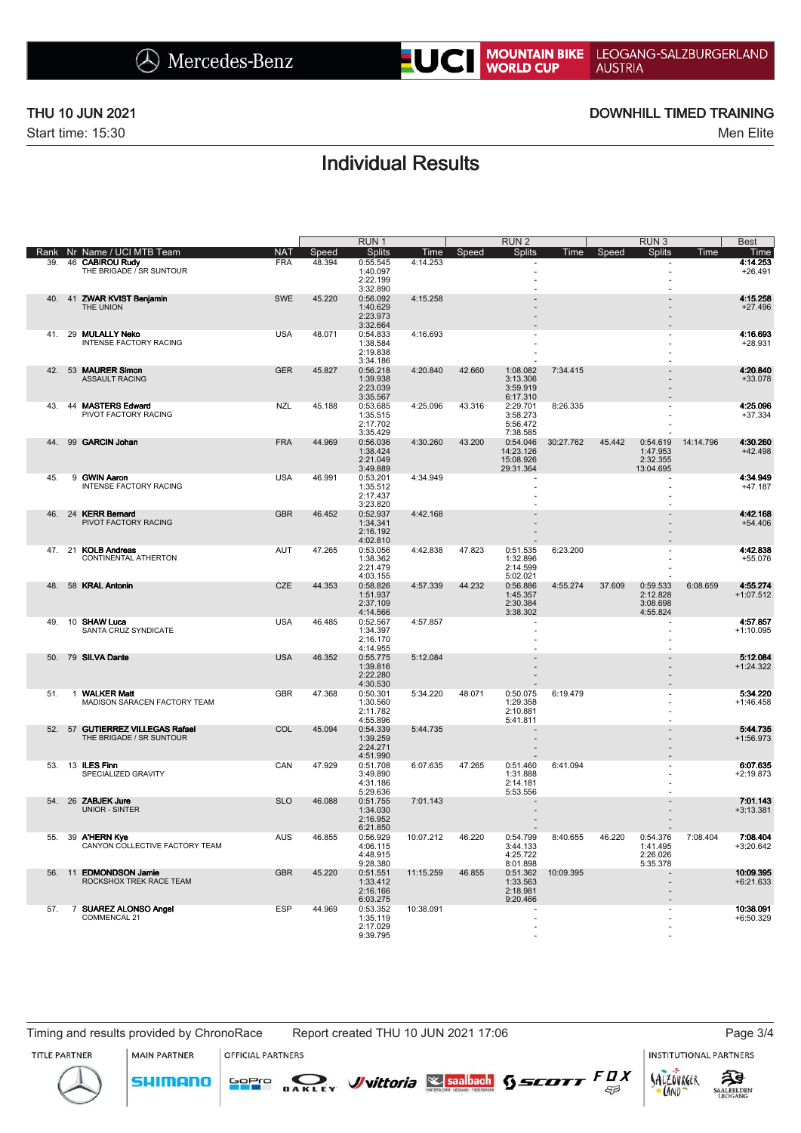# NOUNTAIN BIKE LEOGANG-SALZBURGERLAND

Start time: 15:30 Men Elite

 $\overline{\phantom{a}}$ 

### THU 10 JUN 2021 DOWNHILL TIMED TRAINING

## Individual Results

|      |              |                                                              |            |        | RUN <sub>1</sub>                             |           |        | RUN <sub>2</sub>                                |             |        | RUN <sub>3</sub>                              |           | <b>Best</b>              |
|------|--------------|--------------------------------------------------------------|------------|--------|----------------------------------------------|-----------|--------|-------------------------------------------------|-------------|--------|-----------------------------------------------|-----------|--------------------------|
| Rank |              | Nr Name / UCI MTB Team                                       | <b>NAT</b> | Speed  | <b>Splits</b>                                | Time      | Speed  | <b>Splits</b>                                   | <u>Time</u> | Speed  | <b>Splits</b>                                 | Time      | Time                     |
| 39.  | 46           | <b>CABIROU Rudy</b><br>THE BRIGADE / SR SUNTOUR              | <b>FRA</b> | 48.394 | 0:55.545<br>1:40.097<br>2:22.199             | 4:14.253  |        |                                                 |             |        |                                               |           | 4:14.253<br>$+26.491$    |
| 40.  |              | 41 ZWAR KVIST Benjamin                                       | <b>SWE</b> | 45.220 | 3:32.890<br>0:56.092                         | 4:15.258  |        |                                                 |             |        |                                               |           | 4:15.258                 |
|      |              | THE UNION                                                    |            |        | 1:40.629<br>2:23.973<br>3:32.664             |           |        |                                                 |             |        |                                               |           | $+27.496$                |
| 41.  |              | 29 MULALLY Neko                                              | <b>USA</b> | 48.071 | 0:54.833                                     | 4:16.693  |        |                                                 |             |        |                                               |           | 4:16.693                 |
|      |              | <b>INTENSE FACTORY RACING</b>                                |            |        | 1:38.584<br>2:19.838<br>3:34.186             |           |        |                                                 |             |        |                                               |           | $+28.931$                |
| 42.  |              | 53 MAURER Simon<br><b>ASSAULT RACING</b>                     | <b>GER</b> | 45.827 | 0:56.218<br>1:39.938<br>2:23.039<br>3:35.567 | 4:20.840  | 42.660 | 1:08.082<br>3:13.306<br>3:59.919<br>6:17.310    | 7:34.415    |        |                                               |           | 4:20.840<br>+33.078      |
| 43   |              | 44 MASTERS Edward<br>PIVOT FACTORY RACING                    | <b>NZL</b> | 45.188 | 0:53.685<br>1:35.515<br>2:17.702<br>3:35.429 | 4:25.096  | 43.316 | 2:29.701<br>3:58.273<br>5:56.472<br>7:38.585    | 8:26.335    |        |                                               |           | 4:25.096<br>$+37.334$    |
| 44.  |              | 99 GARCIN Johan                                              | <b>FRA</b> | 44.969 | 0:56.036<br>1:38.424<br>2:21.049<br>3:49.889 | 4:30.260  | 43.200 | 0:54.046<br>14:23.126<br>15:08.926<br>29:31.364 | 30:27.762   | 45.442 | 0:54.619<br>1:47.953<br>2:32.355<br>13:04.695 | 14:14.796 | 4:30.260<br>$+42.498$    |
| 45.  |              | 9 GWIN Aaron<br><b>INTENSE FACTORY RACING</b>                | <b>USA</b> | 46.991 | 0:53.201<br>1:35.512<br>2:17.437<br>3:23.820 | 4:34.949  |        | ÷.<br>$\overline{a}$                            |             |        | $\overline{a}$                                |           | 4:34.949<br>$+47.187$    |
| 46.  |              | 24 KERR Bernard<br>PIVOT FACTORY RACING                      | <b>GBR</b> | 46.452 | 0:52.937<br>1:34.341<br>2:16.192<br>4:02.810 | 4:42.168  |        |                                                 |             |        |                                               |           | 4:42.168<br>$+54.406$    |
|      |              | 47. 21 KOLB Andreas<br>CONTINENTAL ATHERTON                  | AUT        | 47.265 | 0:53.056<br>1:38.362<br>2:21.479<br>4:03.155 | 4:42.838  | 47.823 | 0:51.535<br>1:32.896<br>2:14.599<br>5:02.021    | 6:23.200    |        |                                               |           | 4:42.838<br>$+55.076$    |
| 48.  |              | 58 KRAL Antonin                                              | CZE        | 44.353 | 0:58.826<br>1:51.937<br>2:37.109<br>4:14.566 | 4:57.339  | 44.232 | 0:56.886<br>1:45.357<br>2:30.384<br>3:38.302    | 4:55.274    | 37.609 | 0:59.533<br>2:12.828<br>3:08.698<br>4:55.824  | 6:08.659  | 4:55.274<br>$+1:07.512$  |
| 49   |              | 10 SHAW Luca<br>SANTA CRUZ SYNDICATE                         | <b>USA</b> | 46.485 | 0:52.567<br>1:34.397<br>2:16.170<br>4:14.955 | 4:57.857  |        |                                                 |             |        |                                               |           | 4:57.857<br>$+1:10.095$  |
| 50.  |              | 79 SILVA Dante                                               | <b>USA</b> | 46.352 | 0:55.775<br>1:39.816<br>2:22.280<br>4:30.530 | 5:12.084  |        |                                                 |             |        |                                               |           | 5:12.084<br>$+1:24.322$  |
| 51.  | $\mathbf{1}$ | <b>WALKER Matt</b><br>MADISON SARACEN FACTORY TEAM           | <b>GBR</b> | 47.368 | 0:50.301<br>1:30.560<br>2:11.782<br>4:55.896 | 5:34.220  | 48.071 | 0:50.075<br>1:29.358<br>2:10.881<br>5:41.811    | 6:19.479    |        |                                               |           | 5:34.220<br>$+1:46.458$  |
| 52.  | 57           | <b>GUTIERREZ VILLEGAS Rafael</b><br>THE BRIGADE / SR SUNTOUR | COL        | 45.094 | 0:54.339<br>1:39.259<br>2:24.271<br>4:51.990 | 5:44.735  |        |                                                 |             |        |                                               |           | 5:44.735<br>$+1:56.973$  |
| 53.  |              | 13 ILES Finn<br>SPECIALIZED GRAVITY                          | CAN        | 47.929 | 0:51.708<br>3:49.890<br>4:31.186<br>5:29.636 | 6:07.635  | 47.265 | 0:51.460<br>1:31.888<br>2:14.181<br>5:53.556    | 6:41.094    |        |                                               |           | 6:07.635<br>$+2:19.873$  |
| 54.  |              | 26 ZABJEK Jure<br><b>UNIOR - SINTER</b>                      | <b>SLO</b> | 46.088 | 0:51.755<br>1:34.030<br>2:16.952<br>6:21.850 | 7:01.143  |        |                                                 |             |        |                                               |           | 7:01.143<br>$+3:13.381$  |
| 55.  |              | 39 A'HERN Kye<br>CANYON COLLECTIVE FACTORY TEAM              | <b>AUS</b> | 46.855 | 0:56.929<br>4:06.115<br>4:48.915<br>9:28.380 | 10:07.212 | 46.220 | 0:54.799<br>3:44.133<br>4:25.722<br>8:01.898    | 8:40.655    | 46.220 | 0:54.376<br>1:41.495<br>2:26.026<br>5:35.378  | 7:08.404  | 7:08.404<br>+3:20.642    |
| 56.  | 11           | <b>EDMONDSON Jamie</b><br>ROCKSHOX TREK RACE TEAM            | <b>GBR</b> | 45.220 | 0:51.551<br>1:33.412<br>2:16.166<br>6:03.275 | 11:15.259 | 46.855 | 0:51.362<br>1:33.563<br>2:18.981<br>9:20.466    | 10:09.395   |        | $\overline{a}$                                |           | 10:09.395<br>$+6:21.633$ |
| 57.  |              | 7 SUAREZ ALONSO Angel<br>COMMENCAL 21                        | <b>ESP</b> | 44.969 | 0:53.352<br>1:35.119<br>2:17.029<br>9:39.795 | 10:38.091 |        |                                                 |             |        |                                               |           | 10:38.091<br>+6:50.329   |

MAIN PARTNER

**SHIMANO** 

**OFFICIAL PARTNERS** 

<mark>GoPr</mark>o

ट्रीडे

**SAALFELDEN** 

SALZOVREER

LAND

TITLE PARTNER